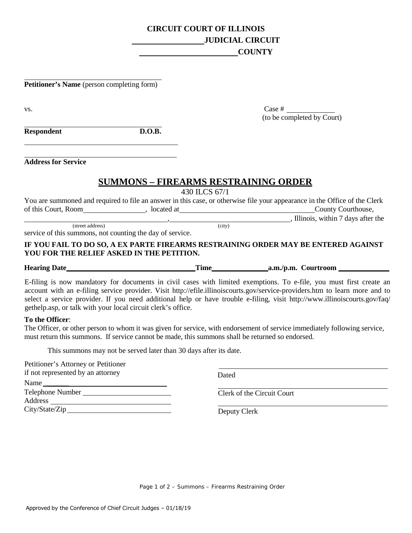## **CIRCUIT COURT OF ILLINOIS JUDICIAL CIRCUIT COUNTY**

**Petitioner's Name** (person completing form)

| VS.                                                                           |                                             |               | (to be completed by Court)                                                                                                                                                                                                                                                                                                                                                      |
|-------------------------------------------------------------------------------|---------------------------------------------|---------------|---------------------------------------------------------------------------------------------------------------------------------------------------------------------------------------------------------------------------------------------------------------------------------------------------------------------------------------------------------------------------------|
| <b>Respondent</b>                                                             | D.O.B.                                      |               |                                                                                                                                                                                                                                                                                                                                                                                 |
| <b>Address for Service</b>                                                    |                                             |               |                                                                                                                                                                                                                                                                                                                                                                                 |
|                                                                               | <b>SUMMONS - FIREARMS RESTRAINING ORDER</b> | 430 ILCS 67/1 |                                                                                                                                                                                                                                                                                                                                                                                 |
|                                                                               |                                             |               | You are summoned and required to file an answer in this case, or otherwise file your appearance in the Office of the Clerk                                                                                                                                                                                                                                                      |
|                                                                               |                                             |               |                                                                                                                                                                                                                                                                                                                                                                                 |
|                                                                               |                                             |               | The same parameter of the set of the set of the set of the set of the set of the set of the set of the set of the set of the set of the set of the set of the set of the set of the set of the set of the set of the set of th                                                                                                                                                  |
| (street address)<br>service of this summons, not counting the day of service. |                                             | (city)        |                                                                                                                                                                                                                                                                                                                                                                                 |
| YOU FOR THE RELIEF ASKED IN THE PETITION.                                     |                                             |               | IF YOU FAIL TO DO SO, A EX PARTE FIREARMS RESTRAINING ORDER MAY BE ENTERED AGAINST                                                                                                                                                                                                                                                                                              |
|                                                                               |                                             |               |                                                                                                                                                                                                                                                                                                                                                                                 |
| gethelp.asp, or talk with your local circuit clerk's office.                  |                                             |               | E-filing is now mandatory for documents in civil cases with limited exemptions. To e-file, you must first create an<br>account with an e-filing service provider. Visit http://efile.illinoiscourts.gov/service-providers.htm to learn more and to<br>select a service provider. If you need additional help or have trouble e-filing, visit http://www.illinoiscourts.gov/faq/ |
| To the Officer:                                                               |                                             |               | The Officer, or other person to whom it was given for service, with endorsement of service immediately following service                                                                                                                                                                                                                                                        |

The Officer, or other person to whom it was given for service, with endorsement of service immediately following service, must return this summons. If service cannot be made, this summons shall be returned so endorsed.

This summons may not be served later than 30 days after its date.

| Petitioner's Attorney or Petitioner |                            |  |
|-------------------------------------|----------------------------|--|
| if not represented by an attorney   | Dated                      |  |
| Name                                |                            |  |
| Telephone Number                    | Clerk of the Circuit Court |  |
|                                     |                            |  |
|                                     | Deputy Clerk               |  |